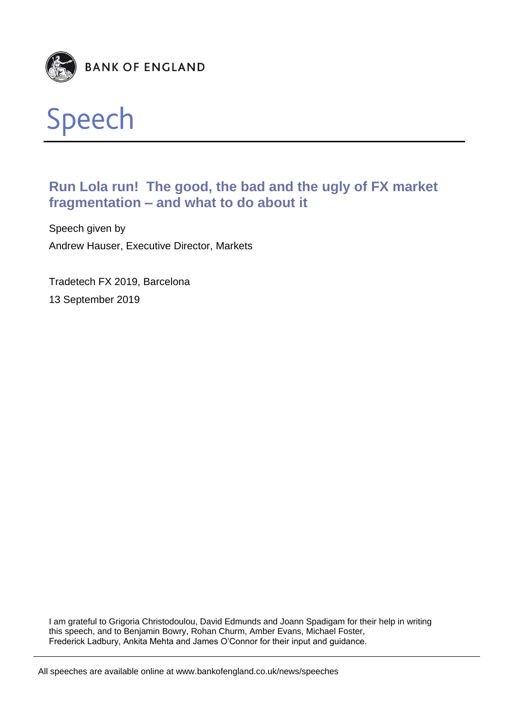



# **Run Lola run! The good, the bad and the ugly of FX market fragmentation – and what to do about it**

Speech given by Andrew Hauser, Executive Director, Markets

Tradetech FX 2019, Barcelona 13 September 2019

I am grateful to Grigoria Christodoulou, David Edmunds and Joann Spadigam for their help in writing this speech, and to Benjamin Bowry, Rohan Churm, Amber Evans, Michael Foster, Frederick Ladbury, Ankita Mehta and James O'Connor for their input and guidance.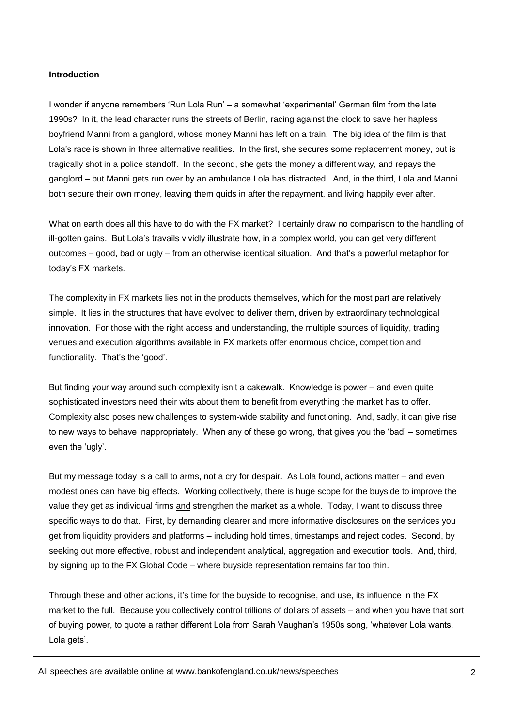#### **Introduction**

I wonder if anyone remembers 'Run Lola Run' – a somewhat 'experimental' German film from the late 1990s? In it, the lead character runs the streets of Berlin, racing against the clock to save her hapless boyfriend Manni from a ganglord, whose money Manni has left on a train. The big idea of the film is that Lola's race is shown in three alternative realities. In the first, she secures some replacement money, but is tragically shot in a police standoff. In the second, she gets the money a different way, and repays the ganglord – but Manni gets run over by an ambulance Lola has distracted. And, in the third, Lola and Manni both secure their own money, leaving them quids in after the repayment, and living happily ever after.

What on earth does all this have to do with the FX market? I certainly draw no comparison to the handling of ill-gotten gains. But Lola's travails vividly illustrate how, in a complex world, you can get very different outcomes – good, bad or ugly – from an otherwise identical situation. And that's a powerful metaphor for today's FX markets.

The complexity in FX markets lies not in the products themselves, which for the most part are relatively simple. It lies in the structures that have evolved to deliver them, driven by extraordinary technological innovation. For those with the right access and understanding, the multiple sources of liquidity, trading venues and execution algorithms available in FX markets offer enormous choice, competition and functionality. That's the 'good'.

But finding your way around such complexity isn't a cakewalk. Knowledge is power – and even quite sophisticated investors need their wits about them to benefit from everything the market has to offer. Complexity also poses new challenges to system-wide stability and functioning. And, sadly, it can give rise to new ways to behave inappropriately. When any of these go wrong, that gives you the 'bad' – sometimes even the 'ugly'.

But my message today is a call to arms, not a cry for despair. As Lola found, actions matter – and even modest ones can have big effects. Working collectively, there is huge scope for the buyside to improve the value they get as individual firms and strengthen the market as a whole. Today, I want to discuss three specific ways to do that. First, by demanding clearer and more informative disclosures on the services you get from liquidity providers and platforms – including hold times, timestamps and reject codes. Second, by seeking out more effective, robust and independent analytical, aggregation and execution tools. And, third, by signing up to the FX Global Code – where buyside representation remains far too thin.

Through these and other actions, it's time for the buyside to recognise, and use, its influence in the FX market to the full. Because you collectively control trillions of dollars of assets – and when you have that sort of buying power, to quote a rather different Lola from Sarah Vaughan's 1950s song, 'whatever Lola wants, Lola gets'.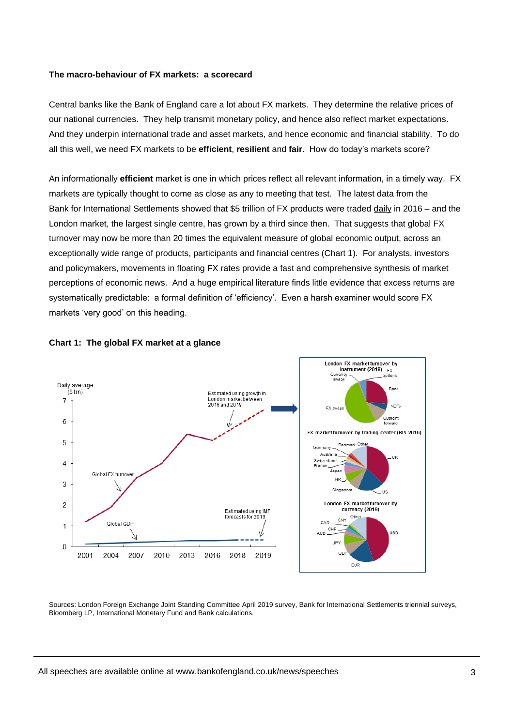#### **The macro-behaviour of FX markets: a scorecard**

Central banks like the Bank of England care a lot about FX markets. They determine the relative prices of our national currencies. They help transmit monetary policy, and hence also reflect market expectations. And they underpin international trade and asset markets, and hence economic and financial stability. To do all this well, we need FX markets to be **efficient**, **resilient** and **fair**. How do today's markets score?

An informationally **efficient** market is one in which prices reflect all relevant information, in a timely way. FX markets are typically thought to come as close as any to meeting that test. The latest data from the Bank for International Settlements showed that \$5 trillion of FX products were traded daily in 2016 – and the London market, the largest single centre, has grown by a third since then. That suggests that global FX turnover may now be more than 20 times the equivalent measure of global economic output, across an exceptionally wide range of products, participants and financial centres (Chart 1). For analysts, investors and policymakers, movements in floating FX rates provide a fast and comprehensive synthesis of market perceptions of economic news. And a huge empirical literature finds little evidence that excess returns are systematically predictable: a formal definition of 'efficiency'. Even a harsh examiner would score FX markets 'very good' on this heading.





Sources: London Foreign Exchange Joint Standing Committee April 2019 survey, Bank for International Settlements triennial surveys, Bloomberg LP, International Monetary Fund and Bank calculations.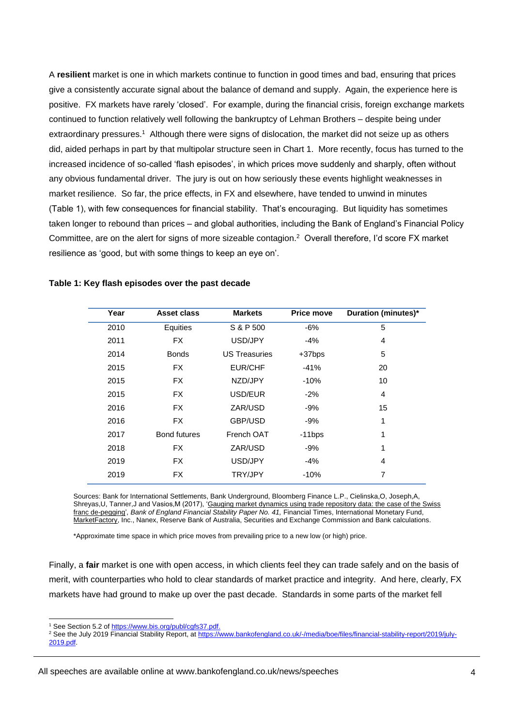A **resilient** market is one in which markets continue to function in good times and bad, ensuring that prices give a consistently accurate signal about the balance of demand and supply. Again, the experience here is positive. FX markets have rarely 'closed'. For example, during the financial crisis, foreign exchange markets continued to function relatively well following the bankruptcy of Lehman Brothers – despite being under extraordinary pressures.<sup>1</sup> Although there were signs of dislocation, the market did not seize up as others did, aided perhaps in part by that multipolar structure seen in Chart 1. More recently, focus has turned to the increased incidence of so-called 'flash episodes', in which prices move suddenly and sharply, often without any obvious fundamental driver. The jury is out on how seriously these events highlight weaknesses in market resilience. So far, the price effects, in FX and elsewhere, have tended to unwind in minutes (Table 1), with few consequences for financial stability. That's encouraging. But liquidity has sometimes taken longer to rebound than prices – and global authorities, including the Bank of England's Financial Policy Committee, are on the alert for signs of more sizeable contagion.<sup>2</sup> Overall therefore, I'd score FX market resilience as 'good, but with some things to keep an eye on'.

| Year | Asset class         | <b>Markets</b>       | <b>Price move</b> | Duration (minutes)* |
|------|---------------------|----------------------|-------------------|---------------------|
| 2010 | Equities            | S & P 500            | $-6%$             | 5                   |
| 2011 | <b>FX</b>           | USD/JPY              | -4%               | 4                   |
| 2014 | <b>Bonds</b>        | <b>US Treasuries</b> | $+37$ bps         | 5                   |
| 2015 | FX.                 | <b>EUR/CHF</b>       | $-41%$            | 20                  |
| 2015 | FX.                 | NZD/JPY              | $-10%$            | 10                  |
| 2015 | FX.                 | USD/EUR              | $-2\%$            | 4                   |
| 2016 | FX.                 | ZAR/USD              | -9%               | 15                  |
| 2016 | <b>FX</b>           | GBP/USD              | $-9%$             | 1                   |
| 2017 | <b>Bond futures</b> | French OAT           | $-11$ bps         | 1                   |
| 2018 | FX.                 | ZAR/USD              | -9%               | 1                   |
| 2019 | <b>FX</b>           | USD/JPY              | $-4%$             | 4                   |
| 2019 | <b>FX</b>           | <b>TRY/JPY</b>       | $-10%$            | 7                   |
|      |                     |                      |                   |                     |

## **Table 1: Key flash episodes over the past decade**

Sources: Bank for International Settlements, Bank Underground, Bloomberg Finance L.P., Cielinska,O, Joseph,A, Shreyas, U, Tanner, J and Vasios, M (2017), 'Gauging market dynamics using trade repository data: the case of the Swiss franc de-pegging', Bank of England Financial Stability Paper No. 41, Financial Times, International Monetary Fund, MarketFactory, Inc., Nanex, Reserve Bank of Australia, Securities and Exchange Commission and Bank calculations.

\*Approximate time space in which price moves from prevailing price to a new low (or high) price.

Finally, a **fair** market is one with open access, in which clients feel they can trade safely and on the basis of merit, with counterparties who hold to clear standards of market practice and integrity. And here, clearly, FX markets have had ground to make up over the past decade. Standards in some parts of the market fell

<sup>&</sup>lt;sup>1</sup> See Section 5.2 of [https://www.bis.org/publ/cgfs37.pdf.](https://www.bis.org/publ/cgfs37.pdf)

<sup>2</sup> See the July 2019 Financial Stability Report, at [https://www.bankofengland.co.uk/-/media/boe/files/financial-stability-report/2019/july-](https://www.bankofengland.co.uk/-/media/boe/files/financial-stability-report/2019/july-2019.pdf)[2019.pdf.](https://www.bankofengland.co.uk/-/media/boe/files/financial-stability-report/2019/july-2019.pdf)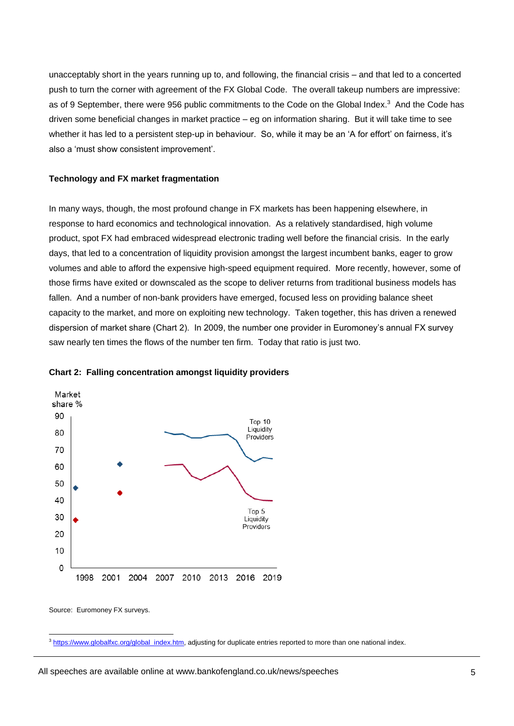unacceptably short in the years running up to, and following, the financial crisis – and that led to a concerted push to turn the corner with agreement of the FX Global Code. The overall takeup numbers are impressive: as of 9 September, there were 956 public commitments to the Code on the Global Index.<sup>3</sup> And the Code has driven some beneficial changes in market practice – eg on information sharing. But it will take time to see whether it has led to a persistent step-up in behaviour. So, while it may be an 'A for effort' on fairness, it's also a 'must show consistent improvement'.

## **Technology and FX market fragmentation**

In many ways, though, the most profound change in FX markets has been happening elsewhere, in response to hard economics and technological innovation. As a relatively standardised, high volume product, spot FX had embraced widespread electronic trading well before the financial crisis. In the early days, that led to a concentration of liquidity provision amongst the largest incumbent banks, eager to grow volumes and able to afford the expensive high-speed equipment required. More recently, however, some of those firms have exited or downscaled as the scope to deliver returns from traditional business models has fallen. And a number of non-bank providers have emerged, focused less on providing balance sheet capacity to the market, and more on exploiting new technology. Taken together, this has driven a renewed dispersion of market share (Chart 2). In 2009, the number one provider in Euromoney's annual FX survey saw nearly ten times the flows of the number ten firm. Today that ratio is just two.



#### **Chart 2: Falling concentration amongst liquidity providers**

Source: Euromoney FX surveys.

l <sup>3</sup> [https://www.globalfxc.org/global\\_index.htm,](https://www.globalfxc.org/global_index.htm) adjusting for duplicate entries reported to more than one national index.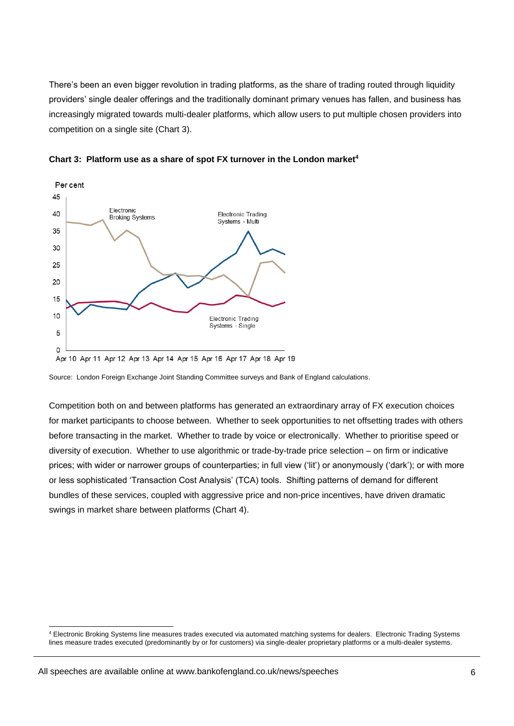There's been an even bigger revolution in trading platforms, as the share of trading routed through liquidity providers' single dealer offerings and the traditionally dominant primary venues has fallen, and business has increasingly migrated towards multi-dealer platforms, which allow users to put multiple chosen providers into competition on a single site (Chart 3).



**Chart 3: Platform use as a share of spot FX turnover in the London market<sup>4</sup>**

Source: London Foreign Exchange Joint Standing Committee surveys and Bank of England calculations.

Competition both on and between platforms has generated an extraordinary array of FX execution choices for market participants to choose between. Whether to seek opportunities to net offsetting trades with others before transacting in the market. Whether to trade by voice or electronically. Whether to prioritise speed or diversity of execution. Whether to use algorithmic or trade-by-trade price selection – on firm or indicative prices; with wider or narrower groups of counterparties; in full view ('lit') or anonymously ('dark'); or with more or less sophisticated 'Transaction Cost Analysis' (TCA) tools. Shifting patterns of demand for different bundles of these services, coupled with aggressive price and non-price incentives, have driven dramatic swings in market share between platforms (Chart 4).

Apr 10 Apr 11 Apr 12 Apr 13 Apr 14 Apr 15 Apr 16 Apr 17 Apr 18 Apr 19

<sup>4</sup> Electronic Broking Systems line measures trades executed via automated matching systems for dealers. Electronic Trading Systems lines measure trades executed (predominantly by or for customers) via single-dealer proprietary platforms or a multi-dealer systems.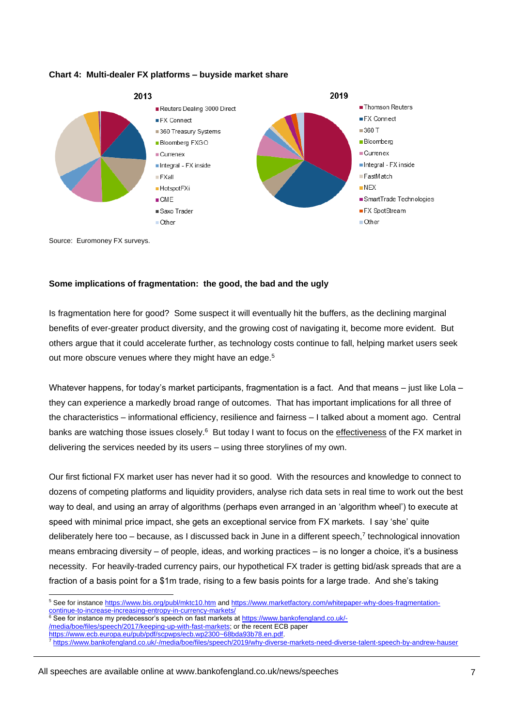

## **Chart 4: Multi-dealer FX platforms – buyside market share**

Source: Euromoney FX surveys.

# **Some implications of fragmentation: the good, the bad and the ugly**

Is fragmentation here for good? Some suspect it will eventually hit the buffers, as the declining marginal benefits of ever-greater product diversity, and the growing cost of navigating it, become more evident. But others argue that it could accelerate further, as technology costs continue to fall, helping market users seek out more obscure venues where they might have an edge.<sup>5</sup>

Whatever happens, for today's market participants, fragmentation is a fact. And that means – just like Lola – they can experience a markedly broad range of outcomes. That has important implications for all three of the characteristics – informational efficiency, resilience and fairness – I talked about a moment ago. Central banks are watching those issues closely.<sup>6</sup> But today I want to focus on the effectiveness of the FX market in delivering the services needed by its users – using three storylines of my own.

Our first fictional FX market user has never had it so good. With the resources and knowledge to connect to dozens of competing platforms and liquidity providers, analyse rich data sets in real time to work out the best way to deal, and using an array of algorithms (perhaps even arranged in an 'algorithm wheel') to execute at speed with minimal price impact, she gets an exceptional service from FX markets. I say 'she' quite deliberately here too – because, as I discussed back in June in a different speech,<sup>7</sup> technological innovation means embracing diversity – of people, ideas, and working practices – is no longer a choice, it's a business necessity. For heavily-traded currency pairs, our hypothetical FX trader is getting bid/ask spreads that are a fraction of a basis point for a \$1m trade, rising to a few basis points for a large trade. And she's taking

l <sup>5</sup> See for instanc[e https://www.bis.org/publ/mktc10.htm](https://www.bis.org/publ/mktc10.htm) and [https://www.marketfactory.com/whitepaper-why-does-fragmentation](https://www.marketfactory.com/whitepaper-why-does-fragmentation-continue-to-increase-increasing-entropy-in-currency-markets/)[continue-to-increase-increasing-entropy-in-currency-markets/](https://www.marketfactory.com/whitepaper-why-does-fragmentation-continue-to-increase-increasing-entropy-in-currency-markets/)

<sup>&</sup>lt;sup>6</sup> See for instance my predecessor's speech on fast markets a[t https://www.bankofengland.co.uk/-](https://www.bankofengland.co.uk/-/media/boe/files/speech/2017/keeping-up-with-fast-markets) [/media/boe/files/speech/2017/keeping-up-with-fast-markets;](https://www.bankofengland.co.uk/-/media/boe/files/speech/2017/keeping-up-with-fast-markets) or the recent ECB paper

[https://www.ecb.europa.eu/pub/pdf/scpwps/ecb.wp2300~68bda93b78.en.pdf.](https://www.ecb.europa.eu/pub/pdf/scpwps/ecb.wp2300~68bda93b78.en.pdf)

<https://www.bankofengland.co.uk/-/media/boe/files/speech/2019/why-diverse-markets-need-diverse-talent-speech-by-andrew-hauser>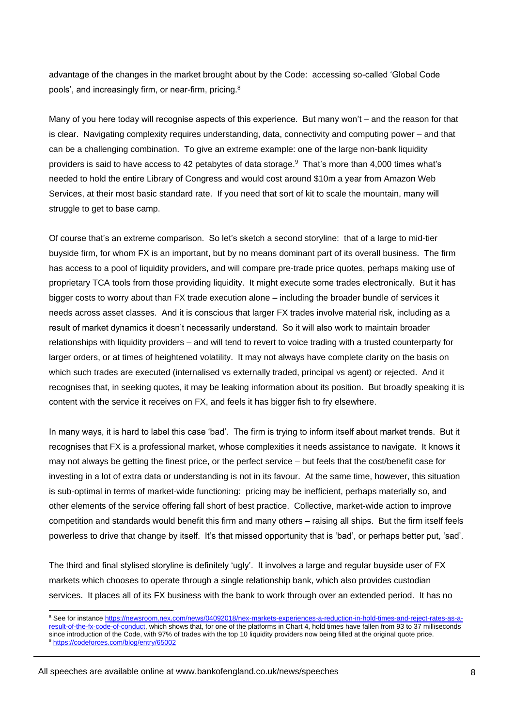advantage of the changes in the market brought about by the Code: accessing so-called 'Global Code pools', and increasingly firm, or near-firm, pricing.<sup>8</sup>

Many of you here today will recognise aspects of this experience. But many won't – and the reason for that is clear. Navigating complexity requires understanding, data, connectivity and computing power – and that can be a challenging combination. To give an extreme example: one of the large non-bank liquidity providers is said to have access to 42 petabytes of data storage.<sup>9</sup> That's more than 4,000 times what's needed to hold the entire Library of Congress and would cost around \$10m a year from Amazon Web Services, at their most basic standard rate. If you need that sort of kit to scale the mountain, many will struggle to get to base camp.

Of course that's an extreme comparison. So let's sketch a second storyline: that of a large to mid-tier buyside firm, for whom FX is an important, but by no means dominant part of its overall business. The firm has access to a pool of liquidity providers, and will compare pre-trade price quotes, perhaps making use of proprietary TCA tools from those providing liquidity. It might execute some trades electronically. But it has bigger costs to worry about than FX trade execution alone – including the broader bundle of services it needs across asset classes. And it is conscious that larger FX trades involve material risk, including as a result of market dynamics it doesn't necessarily understand. So it will also work to maintain broader relationships with liquidity providers – and will tend to revert to voice trading with a trusted counterparty for larger orders, or at times of heightened volatility. It may not always have complete clarity on the basis on which such trades are executed (internalised vs externally traded, principal vs agent) or rejected. And it recognises that, in seeking quotes, it may be leaking information about its position. But broadly speaking it is content with the service it receives on FX, and feels it has bigger fish to fry elsewhere.

In many ways, it is hard to label this case 'bad'. The firm is trying to inform itself about market trends. But it recognises that FX is a professional market, whose complexities it needs assistance to navigate. It knows it may not always be getting the finest price, or the perfect service – but feels that the cost/benefit case for investing in a lot of extra data or understanding is not in its favour. At the same time, however, this situation is sub-optimal in terms of market-wide functioning: pricing may be inefficient, perhaps materially so, and other elements of the service offering fall short of best practice. Collective, market-wide action to improve competition and standards would benefit this firm and many others – raising all ships. But the firm itself feels powerless to drive that change by itself. It's that missed opportunity that is 'bad', or perhaps better put, 'sad'.

The third and final stylised storyline is definitely 'ugly'. It involves a large and regular buyside user of FX markets which chooses to operate through a single relationship bank, which also provides custodian services. It places all of its FX business with the bank to work through over an extended period. It has no

l

All speeches are available online at www.bankofengland.co.uk/news/speeches

<sup>8</sup> See for instanc[e https://newsroom.nex.com/news/04092018/nex-markets-experiences-a-reduction-in-hold-times-and-reject-rates-as-a](https://newsroom.nex.com/news/04092018/nex-markets-experiences-a-reduction-in-hold-times-and-reject-rates-as-a-result-of-the-fx-code-of-conduct)[result-of-the-fx-code-of-conduct,](https://newsroom.nex.com/news/04092018/nex-markets-experiences-a-reduction-in-hold-times-and-reject-rates-as-a-result-of-the-fx-code-of-conduct) which shows that, for one of the platforms in Chart 4, hold times have fallen from 93 to 37 milliseconds since introduction of the Code, with 97% of trades with the top 10 liquidity providers now being filled at the original quote price.

<sup>9</sup> <https://codeforces.com/blog/entry/65002>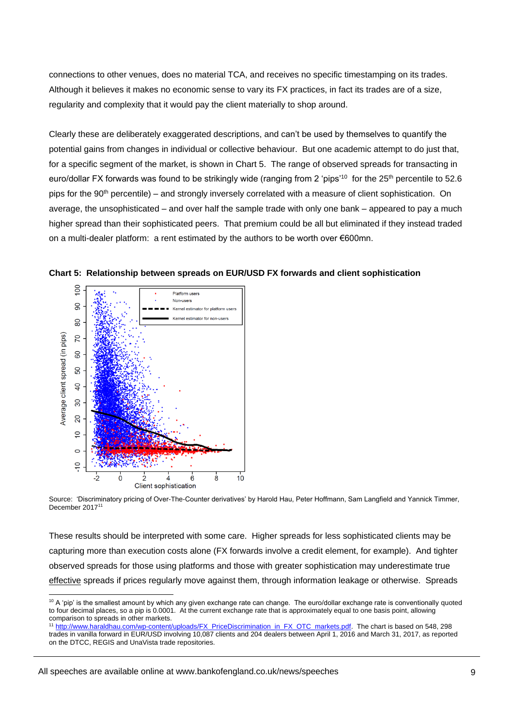connections to other venues, does no material TCA, and receives no specific timestamping on its trades. Although it believes it makes no economic sense to vary its FX practices, in fact its trades are of a size, regularity and complexity that it would pay the client materially to shop around.

Clearly these are deliberately exaggerated descriptions, and can't be used by themselves to quantify the potential gains from changes in individual or collective behaviour. But one academic attempt to do just that, for a specific segment of the market, is shown in Chart 5. The range of observed spreads for transacting in euro/dollar FX forwards was found to be strikingly wide (ranging from 2 'pips'<sup>10</sup> for the 25<sup>th</sup> percentile to 52.6 pips for the 90<sup>th</sup> percentile) – and strongly inversely correlated with a measure of client sophistication. On average, the unsophisticated – and over half the sample trade with only one bank – appeared to pay a much higher spread than their sophisticated peers. That premium could be all but eliminated if they instead traded on a multi-dealer platform: a rent estimated by the authors to be worth over €600mn.



**Chart 5: Relationship between spreads on EUR/USD FX forwards and client sophistication**

Source: 'Discriminatory pricing of Over-The-Counter derivatives' by Harold Hau, Peter Hoffmann, Sam Langfield and Yannick Timmer, December 2017<sup>11</sup>

These results should be interpreted with some care. Higher spreads for less sophisticated clients may be capturing more than execution costs alone (FX forwards involve a credit element, for example). And tighter observed spreads for those using platforms and those with greater sophistication may underestimate true effective spreads if prices regularly move against them, through information leakage or otherwise. Spreads

All speeches are available online at www.bankofengland.co.uk/news/speeches

l  $10$  A 'pip' is the smallest amount by which any given exchange rate can change. The euro/dollar exchange rate is conventionally quoted to four decimal places, so a pip is 0.0001. At the current exchange rate that is approximately equal to one basis point, allowing comparison to spreads in other markets.

<sup>&</sup>lt;sup>11</sup> [http://www.haraldhau.com/wp-content/uploads/FX\\_PriceDiscrimination\\_in\\_FX\\_OTC\\_markets.pdf.](http://www.haraldhau.com/wp-content/uploads/FX_PriceDiscrimination_in_FX_OTC_markets.pdf) The chart is based on 548, 298 trades in vanilla forward in EUR/USD involving 10,087 clients and 204 dealers between April 1, 2016 and March 31, 2017, as reported on the DTCC, REGIS and UnaVista trade repositories.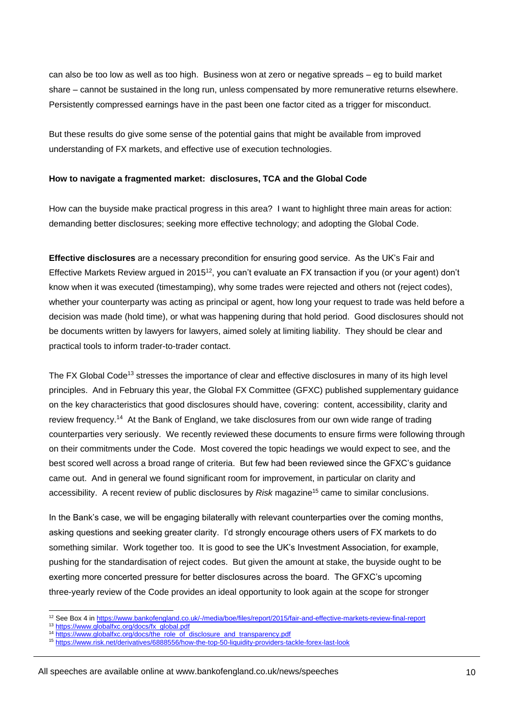can also be too low as well as too high. Business won at zero or negative spreads – eg to build market share – cannot be sustained in the long run, unless compensated by more remunerative returns elsewhere. Persistently compressed earnings have in the past been one factor cited as a trigger for misconduct.

But these results do give some sense of the potential gains that might be available from improved understanding of FX markets, and effective use of execution technologies.

## **How to navigate a fragmented market: disclosures, TCA and the Global Code**

How can the buyside make practical progress in this area? I want to highlight three main areas for action: demanding better disclosures; seeking more effective technology; and adopting the Global Code.

**Effective disclosures** are a necessary precondition for ensuring good service. As the UK's Fair and Effective Markets Review argued in 2015<sup>12</sup>, you can't evaluate an FX transaction if you (or your agent) don't know when it was executed (timestamping), why some trades were rejected and others not (reject codes), whether your counterparty was acting as principal or agent, how long your request to trade was held before a decision was made (hold time), or what was happening during that hold period. Good disclosures should not be documents written by lawyers for lawyers, aimed solely at limiting liability. They should be clear and practical tools to inform trader-to-trader contact.

The FX Global Code<sup>13</sup> stresses the importance of clear and effective disclosures in many of its high level principles. And in February this year, the Global FX Committee (GFXC) published supplementary guidance on the key characteristics that good disclosures should have, covering: content, accessibility, clarity and review frequency.<sup>14</sup> At the Bank of England, we take disclosures from our own wide range of trading counterparties very seriously. We recently reviewed these documents to ensure firms were following through on their commitments under the Code. Most covered the topic headings we would expect to see, and the best scored well across a broad range of criteria. But few had been reviewed since the GFXC's guidance came out. And in general we found significant room for improvement, in particular on clarity and accessibility. A recent review of public disclosures by *Risk* magazine<sup>15</sup> came to similar conclusions.

In the Bank's case, we will be engaging bilaterally with relevant counterparties over the coming months, asking questions and seeking greater clarity. I'd strongly encourage others users of FX markets to do something similar. Work together too. It is good to see the UK's Investment Association, for example, pushing for the standardisation of reject codes. But given the amount at stake, the buyside ought to be exerting more concerted pressure for better disclosures across the board. The GFXC's upcoming three-yearly review of the Code provides an ideal opportunity to look again at the scope for stronger

<sup>12</sup> See Box 4 in<https://www.bankofengland.co.uk/-/media/boe/files/report/2015/fair-and-effective-markets-review-final-report>

<sup>13</sup> [https://www.globalfxc.org/docs/fx\\_global.pdf](https://www.globalfxc.org/docs/fx_global.pdf)

<sup>&</sup>lt;sup>14</sup> [https://www.globalfxc.org/docs/the\\_role\\_of\\_disclosure\\_and\\_transparency.pdf](https://www.globalfxc.org/docs/the_role_of_disclosure_and_transparency.pdf)

<sup>15</sup> <https://www.risk.net/derivatives/6888556/how-the-top-50-liquidity-providers-tackle-forex-last-look>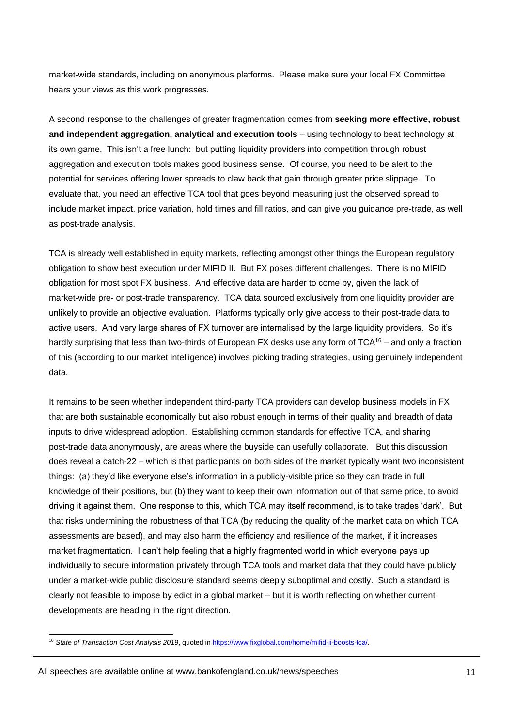market-wide standards, including on anonymous platforms. Please make sure your local FX Committee hears your views as this work progresses.

A second response to the challenges of greater fragmentation comes from **seeking more effective, robust and independent aggregation, analytical and execution tools** – using technology to beat technology at its own game. This isn't a free lunch: but putting liquidity providers into competition through robust aggregation and execution tools makes good business sense. Of course, you need to be alert to the potential for services offering lower spreads to claw back that gain through greater price slippage. To evaluate that, you need an effective TCA tool that goes beyond measuring just the observed spread to include market impact, price variation, hold times and fill ratios, and can give you guidance pre-trade, as well as post-trade analysis.

TCA is already well established in equity markets, reflecting amongst other things the European regulatory obligation to show best execution under MIFID II. But FX poses different challenges. There is no MIFID obligation for most spot FX business. And effective data are harder to come by, given the lack of market-wide pre- or post-trade transparency. TCA data sourced exclusively from one liquidity provider are unlikely to provide an objective evaluation. Platforms typically only give access to their post-trade data to active users. And very large shares of FX turnover are internalised by the large liquidity providers. So it's hardly surprising that less than two-thirds of European FX desks use any form of TCA<sup>16</sup> – and only a fraction of this (according to our market intelligence) involves picking trading strategies, using genuinely independent data.

It remains to be seen whether independent third-party TCA providers can develop business models in FX that are both sustainable economically but also robust enough in terms of their quality and breadth of data inputs to drive widespread adoption. Establishing common standards for effective TCA, and sharing post-trade data anonymously, are areas where the buyside can usefully collaborate. But this discussion does reveal a catch-22 – which is that participants on both sides of the market typically want two inconsistent things: (a) they'd like everyone else's information in a publicly-visible price so they can trade in full knowledge of their positions, but (b) they want to keep their own information out of that same price, to avoid driving it against them. One response to this, which TCA may itself recommend, is to take trades 'dark'. But that risks undermining the robustness of that TCA (by reducing the quality of the market data on which TCA assessments are based), and may also harm the efficiency and resilience of the market, if it increases market fragmentation. I can't help feeling that a highly fragmented world in which everyone pays up individually to secure information privately through TCA tools and market data that they could have publicly under a market-wide public disclosure standard seems deeply suboptimal and costly. Such a standard is clearly not feasible to impose by edict in a global market – but it is worth reflecting on whether current developments are heading in the right direction.

All speeches are available online at www.bankofengland.co.uk/news/speeches

l <sup>16</sup> *State of Transaction Cost Analysis 2019*, quoted i[n https://www.fixglobal.com/home/mifid-ii-boosts-tca/.](https://www.fixglobal.com/home/mifid-ii-boosts-tca/)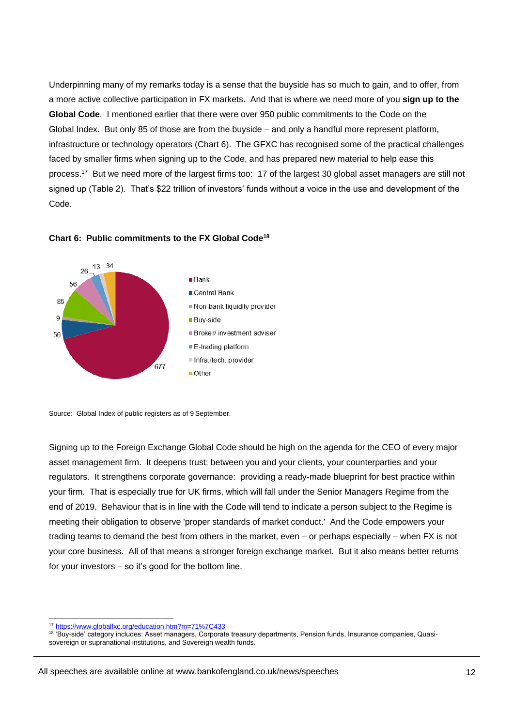Underpinning many of my remarks today is a sense that the buyside has so much to gain, and to offer, from a more active collective participation in FX markets. And that is where we need more of you **sign up to the Global Code**. I mentioned earlier that there were over 950 public commitments to the Code on the Global Index. But only 85 of those are from the buyside – and only a handful more represent platform, infrastructure or technology operators (Chart 6). The GFXC has recognised some of the practical challenges faced by smaller firms when signing up to the Code, and has prepared new material to help ease this process.<sup>17</sup> But we need more of the largest firms too: 17 of the largest 30 global asset managers are still not signed up (Table 2). That's \$22 trillion of investors' funds without a voice in the use and development of the Code.



#### **Chart 6: Public commitments to the FX Global Code<sup>18</sup>**

Source: Global Index of public registers as of 9 September.

Signing up to the Foreign Exchange Global Code should be high on the agenda for the CEO of every major asset management firm. It deepens trust: between you and your clients, your counterparties and your regulators. It strengthens corporate governance: providing a ready-made blueprint for best practice within your firm. That is especially true for UK firms, which will fall under the Senior Managers Regime from the end of 2019. Behaviour that is in line with the Code will tend to indicate a person subject to the Regime is meeting their obligation to observe 'proper standards of market conduct.' And the Code empowers your trading teams to demand the best from others in the market, even – or perhaps especially – when FX is not your core business. All of that means a stronger foreign exchange market. But it also means better returns for your investors – so it's good for the bottom line.

<sup>17</sup> <https://www.globalfxc.org/education.htm?m=71%7C433>

<sup>&</sup>lt;sup>18</sup> Buy-side' category includes: Asset managers, Corporate treasury departments, Pension funds, Insurance companies, Quasisovereign or supranational institutions, and Sovereign wealth funds.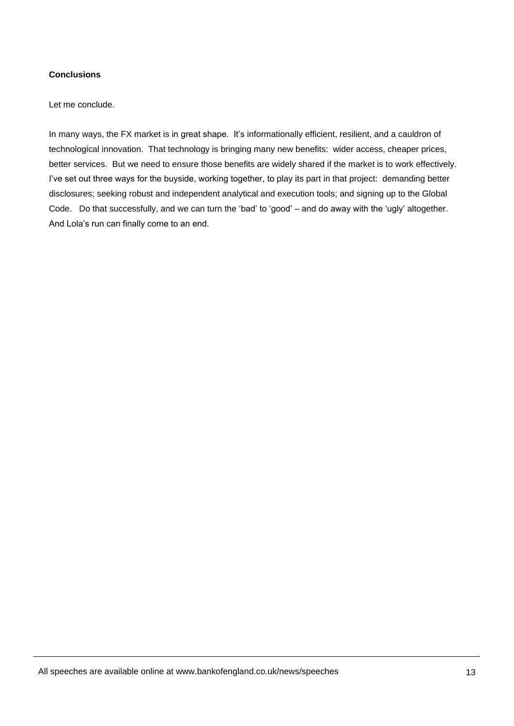# **Conclusions**

Let me conclude.

In many ways, the FX market is in great shape. It's informationally efficient, resilient, and a cauldron of technological innovation. That technology is bringing many new benefits: wider access, cheaper prices, better services. But we need to ensure those benefits are widely shared if the market is to work effectively. I've set out three ways for the buyside, working together, to play its part in that project: demanding better disclosures; seeking robust and independent analytical and execution tools; and signing up to the Global Code. Do that successfully, and we can turn the 'bad' to 'good' – and do away with the 'ugly' altogether. And Lola's run can finally come to an end.